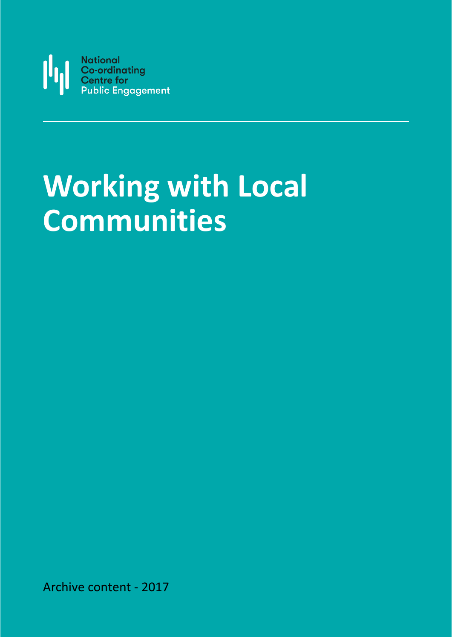

# **Working with Local Communities**

Archive content - 2017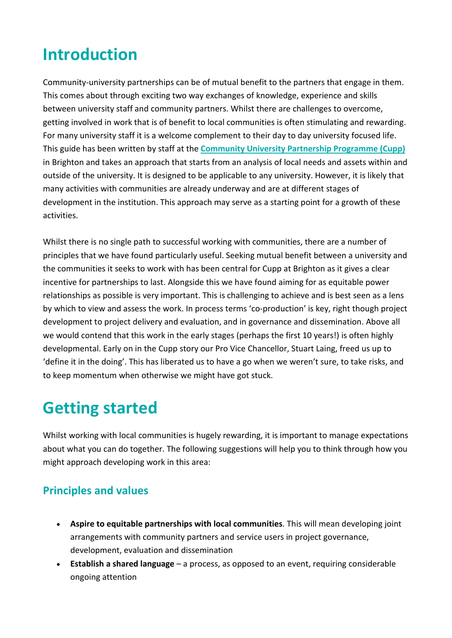## **Introduction**

Community-university partnerships can be of mutual benefit to the partners that engage in them. This comes about through exciting two way exchanges of knowledge, experience and skills between university staff and community partners. Whilst there are challenges to overcome, getting involved in work that is of benefit to local communities is often stimulating and rewarding. For many university staff it is a welcome complement to their day to day university focused life. This guide has been written by staff at the **[Community University Partnership Programme \(Cupp\)](http://about.brighton.ac.uk/cupp/)** in Brighton and takes an approach that starts from an analysis of local needs and assets within and outside of the university. It is designed to be applicable to any university. However, it is likely that many activities with communities are already underway and are at different stages of development in the institution. This approach may serve as a starting point for a growth of these activities.

Whilst there is no single path to successful working with communities, there are a number of principles that we have found particularly useful. Seeking mutual benefit between a university and the communities it seeks to work with has been central for Cupp at Brighton as it gives a clear incentive for partnerships to last. Alongside this we have found aiming for as equitable power relationships as possible is very important. This is challenging to achieve and is best seen as a lens by which to view and assess the work. In process terms 'co-production' is key, right though project development to project delivery and evaluation, and in governance and dissemination. Above all we would contend that this work in the early stages (perhaps the first 10 years!) is often highly developmental. Early on in the Cupp story our Pro Vice Chancellor, Stuart Laing, freed us up to 'define it in the doing'. This has liberated us to have a go when we weren't sure, to take risks, and to keep momentum when otherwise we might have got stuck.

### **Getting started**

Whilst working with local communities is hugely rewarding, it is important to manage expectations about what you can do together. The following suggestions will help you to think through how you might approach developing work in this area:

#### **Principles and values**

- **Aspire to equitable partnerships with local communities**. This will mean developing joint arrangements with community partners and service users in project governance, development, evaluation and dissemination
- **Establish a shared language** a process, as opposed to an event, requiring considerable ongoing attention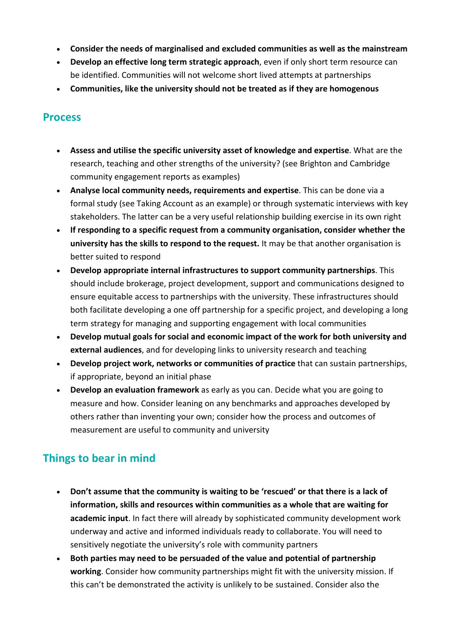- **Consider the needs of marginalised and excluded communities as well as the mainstream**
- **Develop an effective long term strategic approach**, even if only short term resource can be identified. Communities will not welcome short lived attempts at partnerships
- **Communities, like the university should not be treated as if they are homogenous**

#### **Process**

- **Assess and utilise the specific university asset of knowledge and expertise**. What are the research, teaching and other strengths of the university? (see Brighton and Cambridge community engagement reports as examples)
- **Analyse local community needs, requirements and expertise**. This can be done via a formal study (see Taking Account as an example) or through systematic interviews with key stakeholders. The latter can be a very useful relationship building exercise in its own right
- **If responding to a specific request from a community organisation, consider whether the university has the skills to respond to the request.** It may be that another organisation is better suited to respond
- **Develop appropriate internal infrastructures to support community partnerships**. This should include brokerage, project development, support and communications designed to ensure equitable access to partnerships with the university. These infrastructures should both facilitate developing a one off partnership for a specific project, and developing a long term strategy for managing and supporting engagement with local communities
- **Develop mutual goals for social and economic impact of the work for both university and external audiences**, and for developing links to university research and teaching
- **Develop project work, networks or communities of practice** that can sustain partnerships, if appropriate, beyond an initial phase
- **Develop an evaluation framework** as early as you can. Decide what you are going to measure and how. Consider leaning on any benchmarks and approaches developed by others rather than inventing your own; consider how the process and outcomes of measurement are useful to community and university

#### **Things to bear in mind**

- **Don't assume that the community is waiting to be 'rescued' or that there is a lack of information, skills and resources within communities as a whole that are waiting for academic input**. In fact there will already by sophisticated community development work underway and active and informed individuals ready to collaborate. You will need to sensitively negotiate the university's role with community partners
- **Both parties may need to be persuaded of the value and potential of partnership working**. Consider how community partnerships might fit with the university mission. If this can't be demonstrated the activity is unlikely to be sustained. Consider also the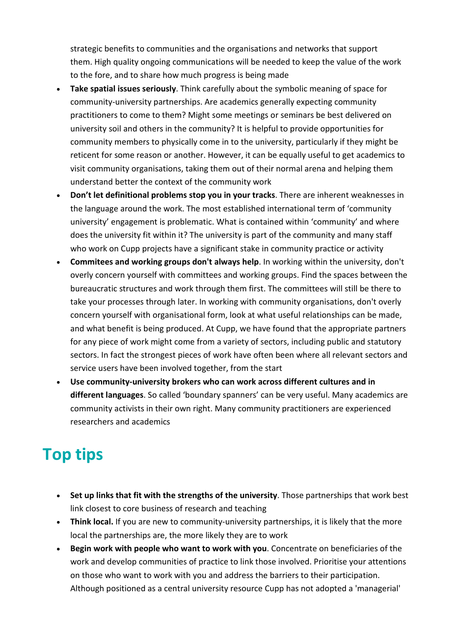strategic benefits to communities and the organisations and networks that support them. High quality ongoing communications will be needed to keep the value of the work to the fore, and to share how much progress is being made

- **Take spatial issues seriously**. Think carefully about the symbolic meaning of space for community-university partnerships. Are academics generally expecting community practitioners to come to them? Might some meetings or seminars be best delivered on university soil and others in the community? It is helpful to provide opportunities for community members to physically come in to the university, particularly if they might be reticent for some reason or another. However, it can be equally useful to get academics to visit community organisations, taking them out of their normal arena and helping them understand better the context of the community work
- **Don't let definitional problems stop you in your tracks**. There are inherent weaknesses in the language around the work. The most established international term of 'community university' engagement is problematic. What is contained within 'community' and where does the university fit within it? The university is part of the community and many staff who work on Cupp projects have a significant stake in community practice or activity
- **Commitees and working groups don't always help**. In working within the university, don't overly concern yourself with committees and working groups. Find the spaces between the bureaucratic structures and work through them first. The committees will still be there to take your processes through later. In working with community organisations, don't overly concern yourself with organisational form, look at what useful relationships can be made, and what benefit is being produced. At Cupp, we have found that the appropriate partners for any piece of work might come from a variety of sectors, including public and statutory sectors. In fact the strongest pieces of work have often been where all relevant sectors and service users have been involved together, from the start
- **Use community-university brokers who can work across different cultures and in different languages**. So called 'boundary spanners' can be very useful. Many academics are community activists in their own right. Many community practitioners are experienced researchers and academics

# **Top tips**

- **Set up links that fit with the strengths of the university**. Those partnerships that work best link closest to core business of research and teaching
- **Think local.** If you are new to community-university partnerships, it is likely that the more local the partnerships are, the more likely they are to work
- **Begin work with people who want to work with you**. Concentrate on beneficiaries of the work and develop communities of practice to link those involved. Prioritise your attentions on those who want to work with you and address the barriers to their participation. Although positioned as a central university resource Cupp has not adopted a 'managerial'